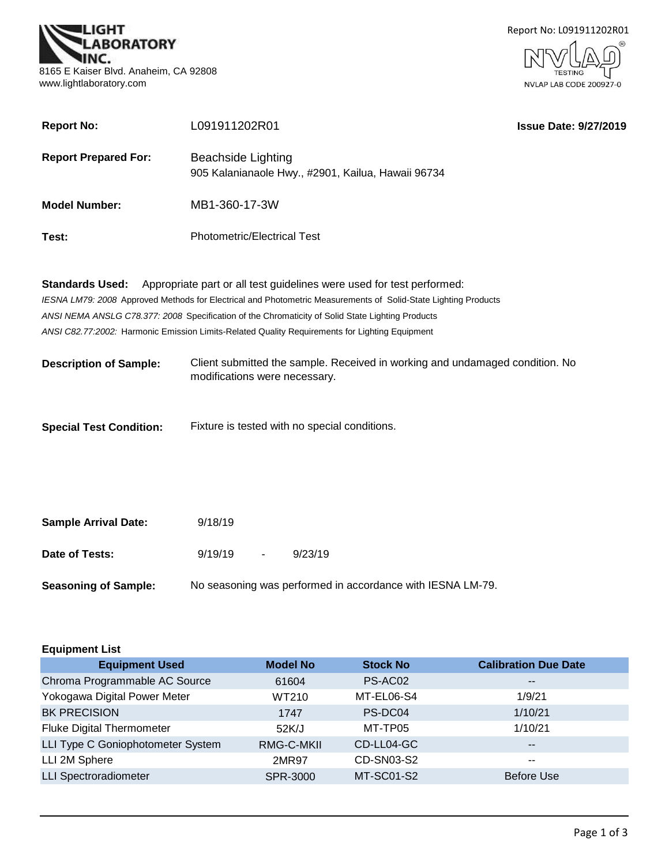



| <b>Report No:</b>              | L091911202R01                                                                                                                                                                                                                                                                                                                                                                                 | <b>Issue Date: 9/27/2019</b> |
|--------------------------------|-----------------------------------------------------------------------------------------------------------------------------------------------------------------------------------------------------------------------------------------------------------------------------------------------------------------------------------------------------------------------------------------------|------------------------------|
| <b>Report Prepared For:</b>    | <b>Beachside Lighting</b><br>905 Kalanianaole Hwy., #2901, Kailua, Hawaii 96734                                                                                                                                                                                                                                                                                                               |                              |
| <b>Model Number:</b>           | MB1-360-17-3W                                                                                                                                                                                                                                                                                                                                                                                 |                              |
| Test:                          | <b>Photometric/Electrical Test</b>                                                                                                                                                                                                                                                                                                                                                            |                              |
| <b>Standards Used:</b>         | Appropriate part or all test guidelines were used for test performed:<br>IESNA LM79: 2008 Approved Methods for Electrical and Photometric Measurements of Solid-State Lighting Products<br>ANSI NEMA ANSLG C78.377: 2008 Specification of the Chromaticity of Solid State Lighting Products<br>ANSI C82.77:2002: Harmonic Emission Limits-Related Quality Requirements for Lighting Equipment |                              |
| <b>Description of Sample:</b>  | Client submitted the sample. Received in working and undamaged condition. No<br>modifications were necessary.                                                                                                                                                                                                                                                                                 |                              |
| <b>Special Test Condition:</b> | Fixture is tested with no special conditions.                                                                                                                                                                                                                                                                                                                                                 |                              |
| <b>Sample Arrival Date:</b>    | 9/18/19                                                                                                                                                                                                                                                                                                                                                                                       |                              |

| Date of Tests: | 9/19/19 | 9/23/19 |
|----------------|---------|---------|
|                |         |         |

**Seasoning of Sample:** No seasoning was performed in accordance with IESNA LM-79.

| <b>Equipment List</b>             |                 |                   |                             |  |  |  |  |  |
|-----------------------------------|-----------------|-------------------|-----------------------------|--|--|--|--|--|
| <b>Equipment Used</b>             | <b>Model No</b> | <b>Stock No</b>   | <b>Calibration Due Date</b> |  |  |  |  |  |
| Chroma Programmable AC Source     | 61604           | PS-AC02           | $\overline{\phantom{m}}$    |  |  |  |  |  |
| Yokogawa Digital Power Meter      | WT210           | MT-EL06-S4        | 1/9/21                      |  |  |  |  |  |
| <b>BK PRECISION</b>               | 1747            | PS-DC04           | 1/10/21                     |  |  |  |  |  |
| <b>Fluke Digital Thermometer</b>  | 52K/J           | MT-TP05           | 1/10/21                     |  |  |  |  |  |
| LLI Type C Goniophotometer System | RMG-C-MKII      | CD-LL04-GC        | $\overline{\phantom{m}}$    |  |  |  |  |  |
| LLI 2M Sphere                     | 2MR97           | CD-SN03-S2        | $\sim$ $\sim$               |  |  |  |  |  |
| <b>LLI Spectroradiometer</b>      | <b>SPR-3000</b> | <b>MT-SC01-S2</b> | <b>Before Use</b>           |  |  |  |  |  |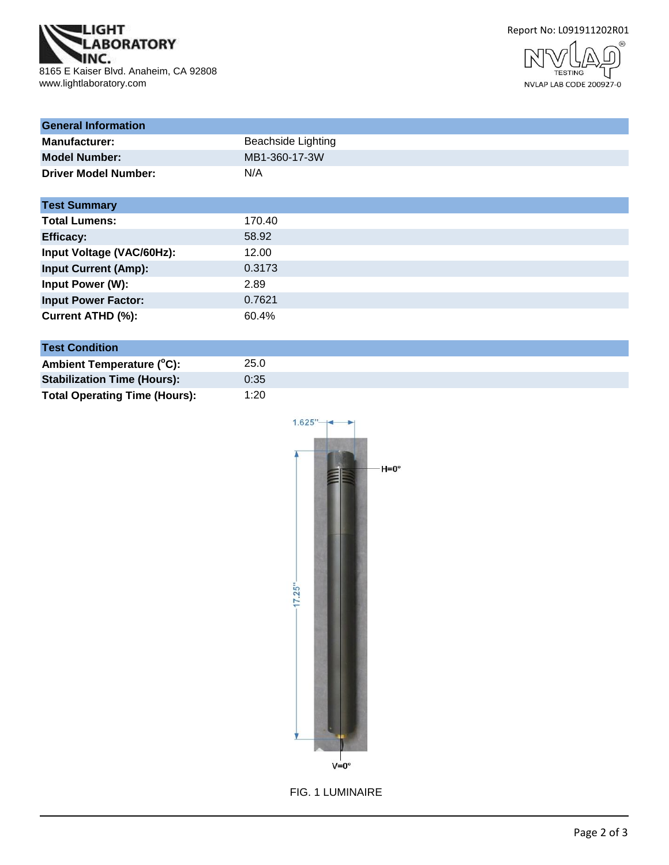

Report No: L091911202R01



| <b>General Information</b>  |                           |
|-----------------------------|---------------------------|
| <b>Manufacturer:</b>        | <b>Beachside Lighting</b> |
| <b>Model Number:</b>        | MB1-360-17-3W             |
| <b>Driver Model Number:</b> | N/A                       |
| <b>Test Summary</b>         |                           |
| <b>Total Lumens:</b>        | 170.40                    |
| <b>Efficacy:</b>            | 58.92                     |
| Input Voltage (VAC/60Hz):   | 12.00                     |
| <b>Input Current (Amp):</b> | 0.3173                    |
| Input Power (W):            | 2.89                      |
| <b>Input Power Factor:</b>  | 0.7621                    |
| Current ATHD (%):           | 60.4%                     |

# **Test Condition**

| 25.0 |
|------|
| 0:35 |
| 1:20 |
|      |



FIG. 1 LUMINAIRE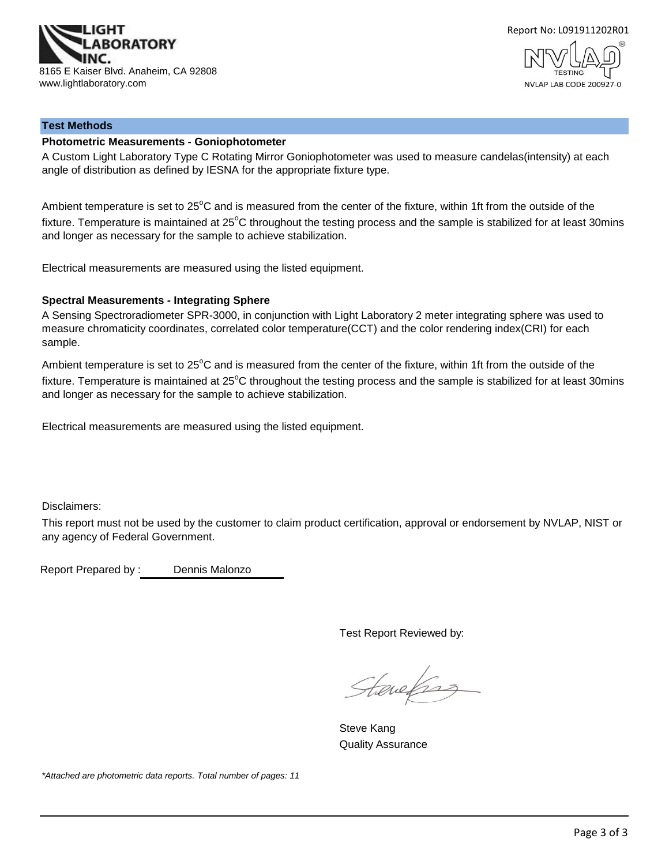



### **Test Methods**

### **Photometric Measurements - Goniophotometer**

A Custom Light Laboratory Type C Rotating Mirror Goniophotometer was used to measure candelas(intensity) at each angle of distribution as defined by IESNA for the appropriate fixture type.

Ambient temperature is set to  $25^{\circ}$ C and is measured from the center of the fixture, within 1ft from the outside of the fixture. Temperature is maintained at  $25^{\circ}$ C throughout the testing process and the sample is stabilized for at least 30mins and longer as necessary for the sample to achieve stabilization.

Electrical measurements are measured using the listed equipment.

### **Spectral Measurements - Integrating Sphere**

A Sensing Spectroradiometer SPR-3000, in conjunction with Light Laboratory 2 meter integrating sphere was used to measure chromaticity coordinates, correlated color temperature(CCT) and the color rendering index(CRI) for each sample.

Ambient temperature is set to 25°C and is measured from the center of the fixture, within 1ft from the outside of the fixture. Temperature is maintained at  $25^{\circ}$ C throughout the testing process and the sample is stabilized for at least 30mins and longer as necessary for the sample to achieve stabilization.

Electrical measurements are measured using the listed equipment.

Disclaimers:

This report must not be used by the customer to claim product certification, approval or endorsement by NVLAP, NIST or any agency of Federal Government.

Report Prepared by : Dennis Malonzo

Test Report Reviewed by:

Stevefing

Steve Kang Quality Assurance

*\*Attached are photometric data reports. Total number of pages: 11*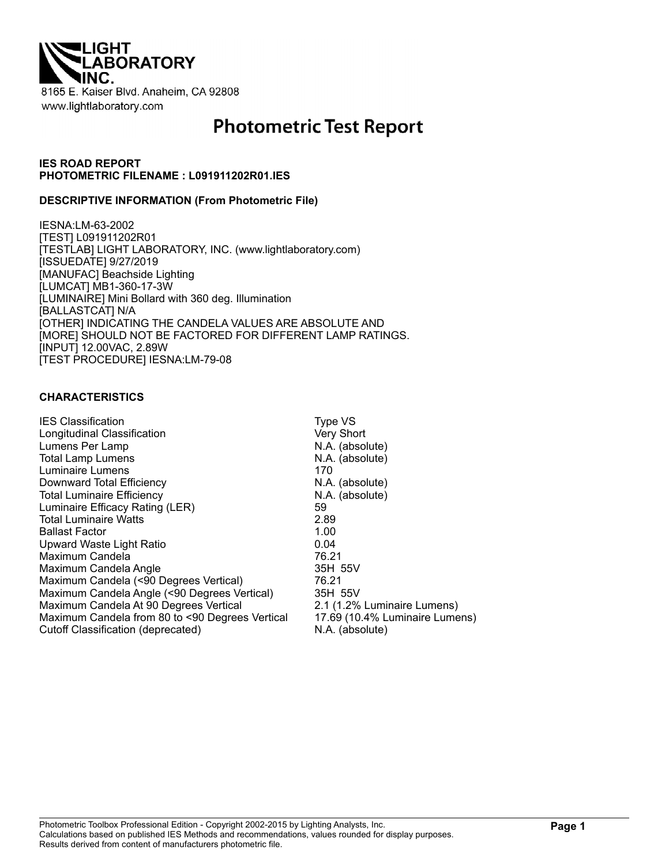

# **Photometric Test Report**

### **IES ROAD REPORT PHOTOMETRIC FILENAME : L091911202R01.IES**

### **DESCRIPTIVE INFORMATION (From Photometric File)**

IESNA:LM-63-2002 [TEST] L091911202R01 [TESTLAB] LIGHT LABORATORY, INC. (www.lightlaboratory.com) [ISSUEDATE] 9/27/2019 [MANUFAC] Beachside Lighting [LUMCAT] MB1-360-17-3W [LUMINAIRE] Mini Bollard with 360 deg. Illumination [BALLASTCAT] N/A [OTHER] INDICATING THE CANDELA VALUES ARE ABSOLUTE AND [MORE] SHOULD NOT BE FACTORED FOR DIFFERENT LAMP RATINGS. [INPUT] 12.00VAC, 2.89W [TEST PROCEDURE] IESNA:LM-79-08

### **CHARACTERISTICS**

| <b>IES Classification</b>                                                                 | Type VS                                                       |
|-------------------------------------------------------------------------------------------|---------------------------------------------------------------|
| Longitudinal Classification                                                               | Very Short                                                    |
| Lumens Per Lamp                                                                           | N.A. (absolute)                                               |
| <b>Total Lamp Lumens</b>                                                                  | N.A. (absolute)                                               |
| Luminaire Lumens                                                                          | 170                                                           |
| Downward Total Efficiency                                                                 | N.A. (absolute)                                               |
| <b>Total Luminaire Efficiency</b>                                                         | N.A. (absolute)                                               |
| Luminaire Efficacy Rating (LER)                                                           | 59                                                            |
| <b>Total Luminaire Watts</b>                                                              | 2.89                                                          |
| <b>Ballast Factor</b>                                                                     | 1.00                                                          |
| Upward Waste Light Ratio                                                                  | 0.04                                                          |
| Maximum Candela                                                                           | 76.21                                                         |
| Maximum Candela Angle                                                                     | 35H 55V                                                       |
| Maximum Candela (<90 Degrees Vertical)                                                    | 76.21                                                         |
| Maximum Candela Angle (<90 Degrees Vertical)                                              | 35H 55V                                                       |
| Maximum Candela At 90 Degrees Vertical<br>Maximum Candela from 80 to <90 Degrees Vertical | 2.1 (1.2% Luminaire Lumens)<br>17.69 (10.4% Luminaire Lumens) |
| Cutoff Classification (deprecated)                                                        | N.A. (absolute)                                               |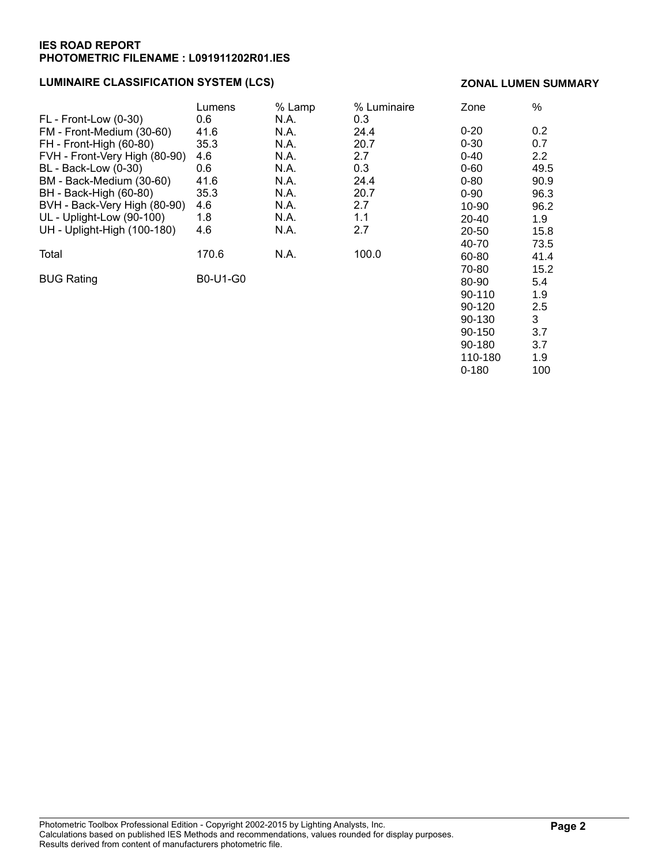### **LUMINAIRE CLASSIFICATION SYSTEM (LCS)**

### **ZONAL LUMEN SUMMARY**

90-150 3.7 90-180 3.7 110-180 1.9 0-180 100

|                               | Lumens   | % Lamp | % Luminaire | Zone      | %    |
|-------------------------------|----------|--------|-------------|-----------|------|
| FL - Front-Low (0-30)         | 0.6      | N.A.   | 0.3         |           |      |
| FM - Front-Medium (30-60)     | 41.6     | N.A.   | 24.4        | $0 - 20$  | 0.2  |
| FH - Front-High (60-80)       | 35.3     | N.A.   | 20.7        | $0 - 30$  | 0.7  |
| FVH - Front-Very High (80-90) | 4.6      | N.A.   | 2.7         | $0 - 40$  | 2.2  |
| BL - Back-Low (0-30)          | 0.6      | N.A.   | 0.3         | $0 - 60$  | 49.5 |
| BM - Back-Medium (30-60)      | 41.6     | N.A.   | 24.4        | $0 - 80$  | 90.9 |
| BH - Back-High (60-80)        | 35.3     | N.A.   | 20.7        | $0 - 90$  | 96.3 |
| BVH - Back-Very High (80-90)  | 4.6      | N.A.   | 2.7         | 10-90     | 96.2 |
| UL - Uplight-Low (90-100)     | 1.8      | N.A.   | 1.1         | $20 - 40$ | 1.9  |
| UH - Uplight-High (100-180)   | 4.6      | N.A.   | 2.7         | 20-50     | 15.8 |
|                               |          |        |             | 40-70     | 73.5 |
| Total                         | 170.6    | N.A.   | 100.0       | 60-80     | 41.4 |
|                               |          |        |             | 70-80     | 15.2 |
| <b>BUG Rating</b>             | B0-U1-G0 |        |             | 80-90     | 5.4  |
|                               |          |        |             | 90-110    | 1.9  |
|                               |          |        |             | 90-120    | 2.5  |
|                               |          |        |             | 90-130    | 3    |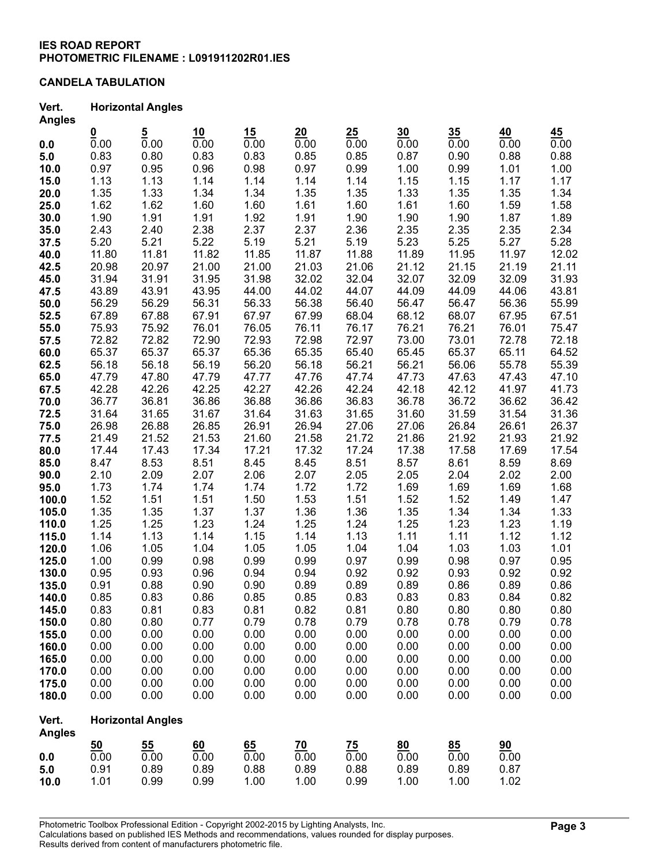### **CANDELA TABULATION**

#### **Vert. Horizontal Angles Angles**

| Angles                 |                  |                          |       |       |            |           |                   |                 |                   |       |
|------------------------|------------------|--------------------------|-------|-------|------------|-----------|-------------------|-----------------|-------------------|-------|
|                        | $\frac{0}{0.00}$ | $\frac{5}{0.00}$         | 10    | 15    | 20<br>0.00 | 25        | 30                | 35 <sub>5</sub> | 40                | 45    |
| 0.0                    |                  |                          | 0.00  | 0.00  |            | 0.00      | $\overline{0.00}$ | 0.00            | $\overline{0.00}$ | 0.00  |
| 5.0                    | 0.83             | 0.80                     | 0.83  | 0.83  | 0.85       | 0.85      | 0.87              | 0.90            | 0.88              | 0.88  |
| 10.0                   | 0.97             | 0.95                     | 0.96  | 0.98  | 0.97       | 0.99      | 1.00              | 0.99            | 1.01              | 1.00  |
| 15.0                   | 1.13             | 1.13                     | 1.14  | 1.14  | 1.14       | 1.14      | 1.15              | 1.15            | 1.17              | 1.17  |
| 20.0                   | 1.35             | 1.33                     | 1.34  | 1.34  | 1.35       | 1.35      | 1.33              | 1.35            | 1.35              | 1.34  |
| 25.0                   | 1.62             | 1.62                     | 1.60  | 1.60  | 1.61       | 1.60      | 1.61              | 1.60            | 1.59              | 1.58  |
| 30.0                   | 1.90             | 1.91                     | 1.91  | 1.92  | 1.91       | 1.90      | 1.90              | 1.90            | 1.87              | 1.89  |
| 35.0                   | 2.43             | 2.40                     | 2.38  | 2.37  | 2.37       | 2.36      | 2.35              | 2.35            | 2.35              | 2.34  |
| 37.5                   | 5.20             | 5.21                     | 5.22  | 5.19  | 5.21       | 5.19      | 5.23              | 5.25            | 5.27              | 5.28  |
| 40.0                   | 11.80            | 11.81                    | 11.82 | 11.85 | 11.87      | 11.88     | 11.89             | 11.95           | 11.97             | 12.02 |
| 42.5                   | 20.98            | 20.97                    | 21.00 | 21.00 | 21.03      | 21.06     | 21.12             | 21.15           | 21.19             | 21.11 |
| 45.0                   | 31.94            | 31.91                    | 31.95 | 31.98 | 32.02      | 32.04     | 32.07             | 32.09           | 32.09             | 31.93 |
| 47.5                   | 43.89            | 43.91                    | 43.95 | 44.00 | 44.02      | 44.07     | 44.09             | 44.09           | 44.06             | 43.81 |
| 50.0                   | 56.29            | 56.29                    | 56.31 | 56.33 | 56.38      | 56.40     | 56.47             | 56.47           | 56.36             | 55.99 |
| 52.5                   | 67.89            | 67.88                    | 67.91 | 67.97 | 67.99      | 68.04     | 68.12             | 68.07           | 67.95             | 67.51 |
| 55.0                   | 75.93            | 75.92                    | 76.01 | 76.05 | 76.11      | 76.17     | 76.21             | 76.21           | 76.01             | 75.47 |
| 57.5                   | 72.82            | 72.82                    | 72.90 | 72.93 | 72.98      | 72.97     | 73.00             | 73.01           | 72.78             | 72.18 |
| 60.0                   | 65.37            | 65.37                    | 65.37 | 65.36 | 65.35      | 65.40     | 65.45             | 65.37           | 65.11             | 64.52 |
| 62.5                   | 56.18            | 56.18                    | 56.19 | 56.20 | 56.18      | 56.21     | 56.21             | 56.06           | 55.78             | 55.39 |
| 65.0                   | 47.79            | 47.80                    | 47.79 | 47.77 | 47.76      | 47.74     | 47.73             | 47.63           | 47.43             | 47.10 |
| 67.5                   | 42.28            | 42.26                    | 42.25 | 42.27 | 42.26      | 42.24     | 42.18             | 42.12           | 41.97             | 41.73 |
| 70.0                   | 36.77            | 36.81                    | 36.86 | 36.88 | 36.86      | 36.83     | 36.78             | 36.72           | 36.62             | 36.42 |
| 72.5                   | 31.64            | 31.65                    | 31.67 | 31.64 | 31.63      | 31.65     | 31.60             | 31.59           | 31.54             | 31.36 |
| 75.0                   | 26.98            | 26.88                    | 26.85 | 26.91 | 26.94      | 27.06     | 27.06             | 26.84           | 26.61             | 26.37 |
| 77.5                   | 21.49            | 21.52                    | 21.53 | 21.60 | 21.58      | 21.72     | 21.86             | 21.92           | 21.93             | 21.92 |
|                        | 17.44            | 17.43                    | 17.34 | 17.21 | 17.32      | 17.24     | 17.38             | 17.58           | 17.69             | 17.54 |
| 80.0                   |                  |                          |       |       |            |           |                   |                 |                   |       |
| 85.0                   | 8.47             | 8.53                     | 8.51  | 8.45  | 8.45       | 8.51      | 8.57              | 8.61            | 8.59              | 8.69  |
| 90.0                   | 2.10             | 2.09                     | 2.07  | 2.06  | 2.07       | 2.05      | 2.05              | 2.04            | 2.02              | 2.00  |
| 95.0                   | 1.73             | 1.74                     | 1.74  | 1.74  | 1.72       | 1.72      | 1.69              | 1.69            | 1.69              | 1.68  |
| 100.0                  | 1.52             | 1.51                     | 1.51  | 1.50  | 1.53       | 1.51      | 1.52              | 1.52            | 1.49              | 1.47  |
| 105.0                  | 1.35             | 1.35                     | 1.37  | 1.37  | 1.36       | 1.36      | 1.35              | 1.34            | 1.34              | 1.33  |
| 110.0                  | 1.25             | 1.25                     | 1.23  | 1.24  | 1.25       | 1.24      | 1.25              | 1.23            | 1.23              | 1.19  |
| 115.0                  | 1.14             | 1.13                     | 1.14  | 1.15  | 1.14       | 1.13      | 1.11              | 1.11            | 1.12              | 1.12  |
| 120.0                  | 1.06             | 1.05                     | 1.04  | 1.05  | 1.05       | 1.04      | 1.04              | 1.03            | 1.03              | 1.01  |
| 125.0                  | 1.00             | 0.99                     | 0.98  | 0.99  | 0.99       | 0.97      | 0.99              | 0.98            | 0.97              | 0.95  |
| 130.0                  | 0.95             | 0.93                     | 0.96  | 0.94  | 0.94       | 0.92      | 0.92              | 0.93            | 0.92              | 0.92  |
| 135.0                  | 0.91             | 0.88                     | 0.90  | 0.90  | 0.89       | 0.89      | 0.89              | 0.86            | 0.89              | 0.86  |
| 140.0                  | 0.85             | 0.83                     | 0.86  | 0.85  | 0.85       | 0.83      | 0.83              | 0.83            | 0.84              | 0.82  |
| 145.0                  | 0.83             | 0.81                     | 0.83  | 0.81  | 0.82       | 0.81      | 0.80              | 0.80            | 0.80              | 0.80  |
| 150.0                  | 0.80             | 0.80                     | 0.77  | 0.79  | 0.78       | 0.79      | 0.78              | 0.78            | 0.79              | 0.78  |
| 155.0                  | 0.00             | 0.00                     | 0.00  | 0.00  | 0.00       | 0.00      | 0.00              | 0.00            | 0.00              | 0.00  |
| 160.0                  | 0.00             | 0.00                     | 0.00  | 0.00  | 0.00       | 0.00      | 0.00              | 0.00            | 0.00              | 0.00  |
| 165.0                  | 0.00             | 0.00                     | 0.00  | 0.00  | 0.00       | 0.00      | 0.00              | 0.00            | 0.00              | 0.00  |
| 170.0                  | 0.00             | 0.00                     | 0.00  | 0.00  | 0.00       | 0.00      | 0.00              | 0.00            | 0.00              | 0.00  |
| 175.0                  | 0.00             | 0.00                     | 0.00  | 0.00  | 0.00       | 0.00      | 0.00              | 0.00            | 0.00              | 0.00  |
| 180.0                  | 0.00             | 0.00                     | 0.00  | 0.00  | 0.00       | 0.00      | 0.00              | 0.00            | 0.00              | 0.00  |
| Vert.<br><b>Angles</b> |                  | <b>Horizontal Angles</b> |       |       |            |           |                   |                 |                   |       |
|                        | 50               | 55                       | 60    | 65    | <u>70</u>  | <u>75</u> | 80                | 85              | 90                |       |
| 0.0                    | 0.00             | 0.00                     | 0.00  | 0.00  | 0.00       | 0.00      | 0.00              | 0.00            | 0.00              |       |
| 5.0                    | 0.91             | 0.89                     | 0.89  | 0.88  | 0.89       | 0.88      | 0.89              | 0.89            | 0.87              |       |
| 10.0                   | 1.01             | 0.99                     | 0.99  | 1.00  | 1.00       | 0.99      | 1.00              | 1.00            | 1.02              |       |
|                        |                  |                          |       |       |            |           |                   |                 |                   |       |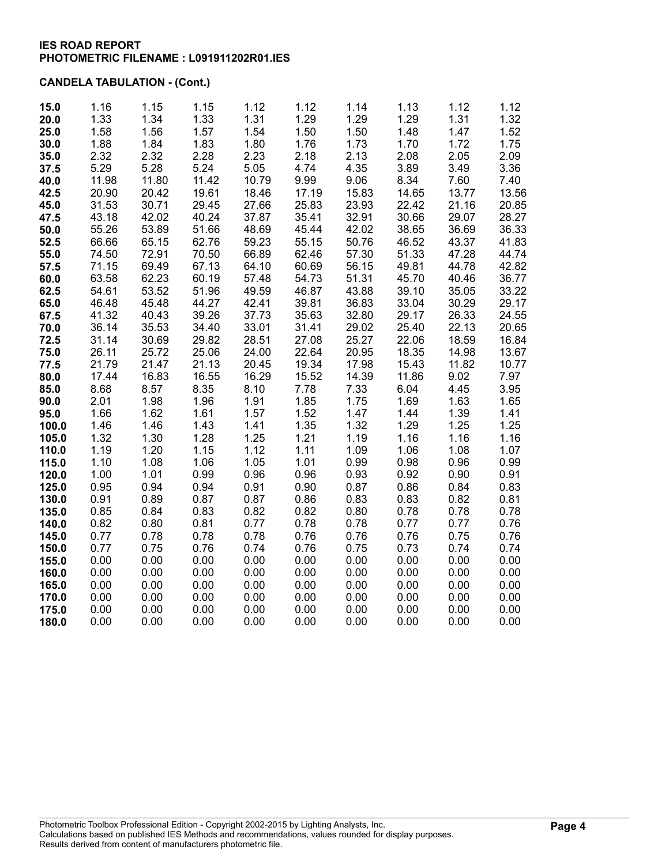# **CANDELA TABULATION - (Cont.)**

| 15.0  | 1.16  | 1.15  | 1.15  | 1.12  | 1.12  | 1.14  | 1.13  | 1.12  | 1.12  |
|-------|-------|-------|-------|-------|-------|-------|-------|-------|-------|
| 20.0  | 1.33  | 1.34  | 1.33  | 1.31  | 1.29  | 1.29  | 1.29  | 1.31  | 1.32  |
| 25.0  | 1.58  | 1.56  | 1.57  | 1.54  | 1.50  | 1.50  | 1.48  | 1.47  | 1.52  |
| 30.0  | 1.88  | 1.84  | 1.83  | 1.80  | 1.76  | 1.73  | 1.70  | 1.72  | 1.75  |
| 35.0  | 2.32  | 2.32  | 2.28  | 2.23  | 2.18  | 2.13  | 2.08  | 2.05  | 2.09  |
| 37.5  | 5.29  | 5.28  | 5.24  | 5.05  | 4.74  | 4.35  | 3.89  | 3.49  | 3.36  |
| 40.0  | 11.98 | 11.80 | 11.42 | 10.79 | 9.99  | 9.06  | 8.34  | 7.60  | 7.40  |
| 42.5  | 20.90 | 20.42 | 19.61 | 18.46 | 17.19 | 15.83 | 14.65 | 13.77 | 13.56 |
| 45.0  | 31.53 | 30.71 | 29.45 | 27.66 | 25.83 | 23.93 | 22.42 | 21.16 | 20.85 |
| 47.5  | 43.18 | 42.02 | 40.24 | 37.87 | 35.41 | 32.91 | 30.66 | 29.07 | 28.27 |
| 50.0  | 55.26 | 53.89 | 51.66 | 48.69 | 45.44 | 42.02 | 38.65 | 36.69 | 36.33 |
| 52.5  | 66.66 | 65.15 | 62.76 | 59.23 | 55.15 | 50.76 | 46.52 | 43.37 | 41.83 |
| 55.0  | 74.50 | 72.91 | 70.50 | 66.89 | 62.46 | 57.30 | 51.33 | 47.28 | 44.74 |
| 57.5  | 71.15 | 69.49 | 67.13 | 64.10 | 60.69 | 56.15 | 49.81 | 44.78 | 42.82 |
| 60.0  | 63.58 | 62.23 | 60.19 | 57.48 | 54.73 | 51.31 | 45.70 | 40.46 | 36.77 |
| 62.5  | 54.61 | 53.52 | 51.96 | 49.59 | 46.87 | 43.88 | 39.10 | 35.05 | 33.22 |
| 65.0  | 46.48 | 45.48 | 44.27 | 42.41 | 39.81 | 36.83 | 33.04 | 30.29 | 29.17 |
| 67.5  | 41.32 | 40.43 | 39.26 | 37.73 | 35.63 | 32.80 | 29.17 | 26.33 | 24.55 |
| 70.0  | 36.14 | 35.53 | 34.40 | 33.01 | 31.41 | 29.02 | 25.40 | 22.13 | 20.65 |
| 72.5  | 31.14 | 30.69 | 29.82 | 28.51 | 27.08 | 25.27 | 22.06 | 18.59 | 16.84 |
| 75.0  | 26.11 | 25.72 | 25.06 | 24.00 | 22.64 | 20.95 | 18.35 | 14.98 | 13.67 |
| 77.5  | 21.79 | 21.47 | 21.13 | 20.45 | 19.34 | 17.98 | 15.43 | 11.82 | 10.77 |
| 80.0  | 17.44 | 16.83 | 16.55 | 16.29 | 15.52 | 14.39 | 11.86 | 9.02  | 7.97  |
| 85.0  | 8.68  | 8.57  | 8.35  | 8.10  | 7.78  | 7.33  | 6.04  | 4.45  | 3.95  |
| 90.0  | 2.01  | 1.98  | 1.96  | 1.91  | 1.85  | 1.75  | 1.69  | 1.63  | 1.65  |
| 95.0  | 1.66  | 1.62  | 1.61  | 1.57  | 1.52  | 1.47  | 1.44  | 1.39  | 1.41  |
| 100.0 | 1.46  | 1.46  | 1.43  | 1.41  | 1.35  | 1.32  | 1.29  | 1.25  | 1.25  |
| 105.0 | 1.32  | 1.30  | 1.28  | 1.25  | 1.21  | 1.19  | 1.16  | 1.16  | 1.16  |
| 110.0 | 1.19  | 1.20  | 1.15  | 1.12  | 1.11  | 1.09  | 1.06  | 1.08  | 1.07  |
| 115.0 | 1.10  | 1.08  | 1.06  | 1.05  | 1.01  | 0.99  | 0.98  | 0.96  | 0.99  |
| 120.0 | 1.00  | 1.01  | 0.99  | 0.96  | 0.96  | 0.93  | 0.92  | 0.90  | 0.91  |
| 125.0 | 0.95  | 0.94  | 0.94  | 0.91  | 0.90  | 0.87  | 0.86  | 0.84  | 0.83  |
| 130.0 | 0.91  | 0.89  | 0.87  | 0.87  | 0.86  | 0.83  | 0.83  | 0.82  | 0.81  |
| 135.0 | 0.85  | 0.84  | 0.83  | 0.82  | 0.82  | 0.80  | 0.78  | 0.78  | 0.78  |
| 140.0 | 0.82  | 0.80  | 0.81  | 0.77  | 0.78  | 0.78  | 0.77  | 0.77  | 0.76  |
| 145.0 | 0.77  | 0.78  | 0.78  | 0.78  | 0.76  | 0.76  | 0.76  | 0.75  | 0.76  |
| 150.0 | 0.77  | 0.75  | 0.76  | 0.74  | 0.76  | 0.75  | 0.73  | 0.74  | 0.74  |
| 155.0 | 0.00  | 0.00  | 0.00  | 0.00  | 0.00  | 0.00  | 0.00  | 0.00  | 0.00  |
| 160.0 | 0.00  | 0.00  | 0.00  | 0.00  | 0.00  | 0.00  | 0.00  | 0.00  | 0.00  |
| 165.0 | 0.00  | 0.00  | 0.00  | 0.00  | 0.00  | 0.00  | 0.00  | 0.00  | 0.00  |
| 170.0 | 0.00  | 0.00  | 0.00  | 0.00  | 0.00  | 0.00  | 0.00  | 0.00  | 0.00  |
| 175.0 | 0.00  | 0.00  | 0.00  | 0.00  | 0.00  | 0.00  | 0.00  | 0.00  | 0.00  |
| 180.0 | 0.00  | 0.00  | 0.00  | 0.00  | 0.00  | 0.00  | 0.00  | 0.00  | 0.00  |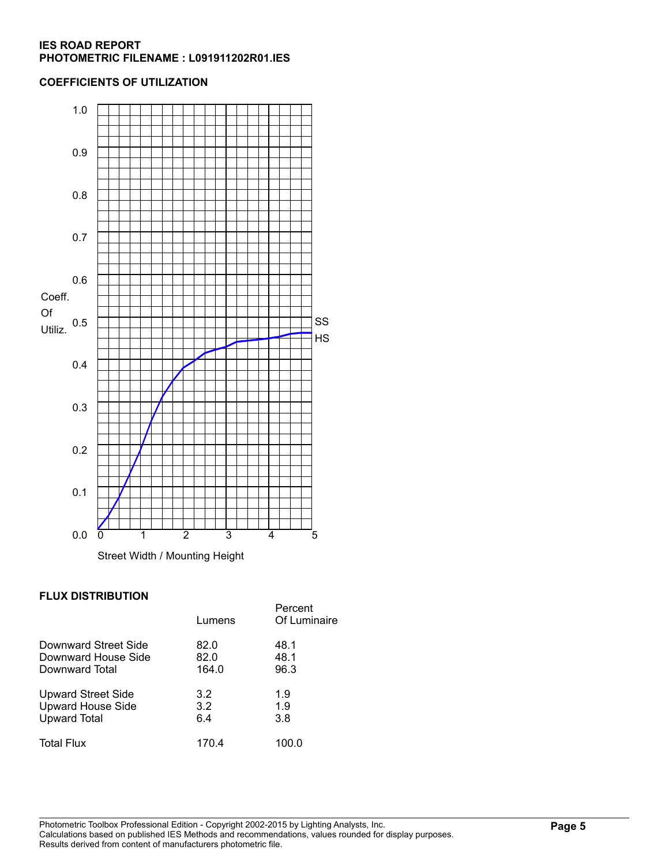### **COEFFICIENTS OF UTILIZATION**



### **FLUX DISTRIBUTION**

|                           | Lumens | Percent<br>Of Luminaire |
|---------------------------|--------|-------------------------|
| Downward Street Side      | 82.0   | 48.1                    |
| Downward House Side       | 82.0   | 48.1                    |
| Downward Total            | 164.0  | 96.3                    |
| <b>Upward Street Side</b> | 3.2    | 1.9                     |
| <b>Upward House Side</b>  | 3.2    | 1.9                     |
| <b>Upward Total</b>       | 6.4    | 3.8                     |
| <b>Total Flux</b>         | 170.4  | 100.0                   |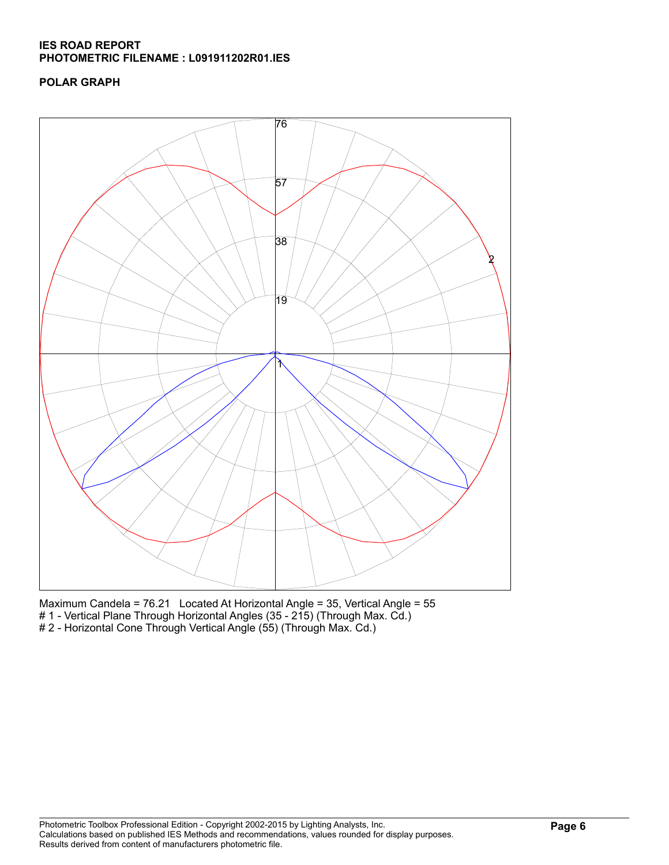## **POLAR GRAPH**



Maximum Candela = 76.21 Located At Horizontal Angle = 35, Vertical Angle = 55 # 1 - Vertical Plane Through Horizontal Angles (35 - 215) (Through Max. Cd.) # 2 - Horizontal Cone Through Vertical Angle (55) (Through Max. Cd.)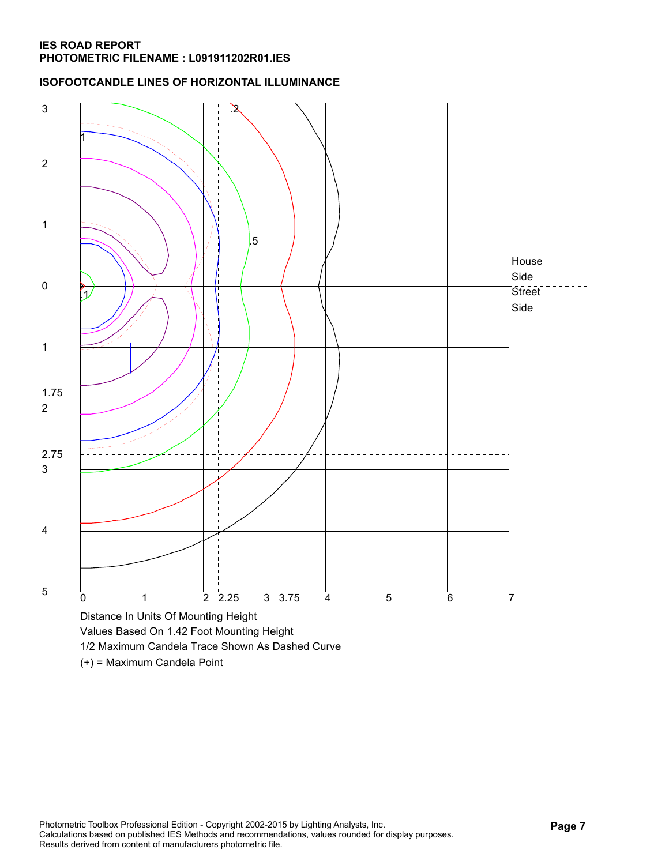### **ISOFOOTCANDLE LINES OF HORIZONTAL ILLUMINANCE**



(+) = Maximum Candela Point